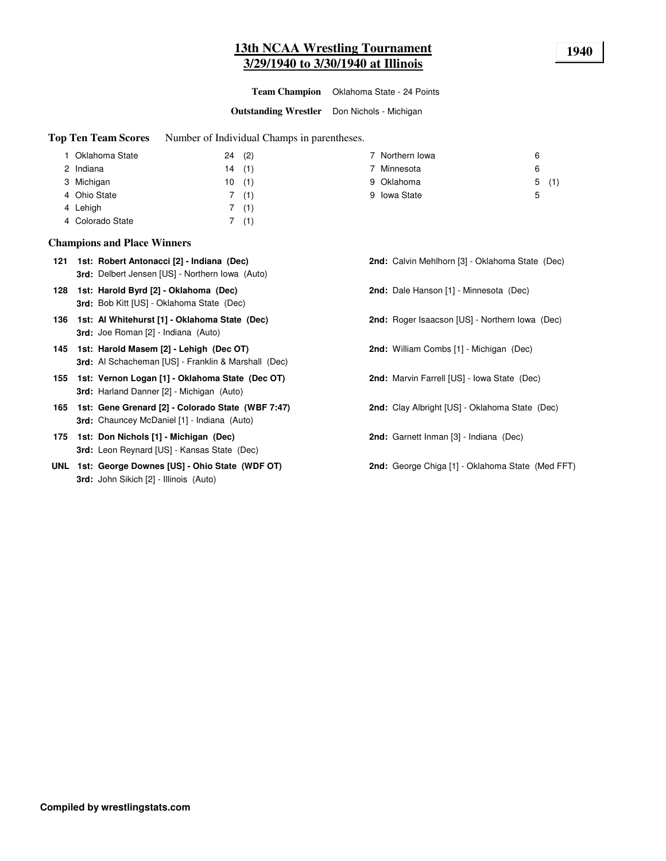# **13th NCAA Wrestling Tournament 1940 3/29/1940 to 3/30/1940 at Illinois**

**Team Champion** Oklahoma State - 24 Points

**Outstanding Wrestler** Don Nichols - Michigan

**Top Ten Team Scores** Number of Individual Champs in parentheses.

| 1 Oklahoma State | 24 | (2)  | Northern Iowa | 6 |      |
|------------------|----|------|---------------|---|------|
| 2 Indiana        | 14 | (1)  | Minnesota     | 6 |      |
| 3 Michigan       | 10 | (1)  | 9 Oklahoma    |   | 5(1) |
| 4 Ohio State     |    | 7(1) | 9 Iowa State  | 5 |      |
| 4 Lehigh         |    | (1)  |               |   |      |
| 4 Colorado State |    | (1)  |               |   |      |

### **Champions and Place Winners**

| 121 | 1st: Robert Antonacci [2] - Indiana (Dec)       |  |  |  |
|-----|-------------------------------------------------|--|--|--|
|     | 3rd: Delbert Jensen [US] - Northern Iowa (Auto) |  |  |  |

- **128 1st: Harold Byrd [2] - Oklahoma (Dec) 2nd:** Dale Hanson [1] Minnesota (Dec) **3rd:** Bob Kitt [US] - Oklahoma State (Dec)
- **136 1st: Al Whitehurst [1] - Oklahoma State (Dec) 2nd:** Roger Isaacson [US] Northern Iowa (Dec) **3rd:** Joe Roman [2] - Indiana (Auto)
- **145 1st: Harold Masem [2] - Lehigh (Dec OT) 2nd:** William Combs [1] Michigan (Dec) **3rd:** Al Schacheman [US] - Franklin & Marshall (Dec)
- **155 1st: Vernon Logan [1] - Oklahoma State (Dec OT) 2nd:** Marvin Farrell [US] Iowa State (Dec) **3rd:** Harland Danner [2] - Michigan (Auto)
- **165 1st: Gene Grenard [2] - Colorado State (WBF 7:47) 2nd:** Clay Albright [US] Oklahoma State (Dec) **3rd:** Chauncey McDaniel [1] - Indiana (Auto)
- **175 1st: Don Nichols [1] - Michigan (Dec) 2nd:** Garnett Inman [3] Indiana (Dec) **3rd:** Leon Reynard [US] - Kansas State (Dec)
- **UNL 1st: George Downes [US] - Ohio State (WDF OT) 2nd:** George Chiga [1] Oklahoma State (Med FFT) **3rd:** John Sikich [2] - Illinois (Auto)
- **121 1st: Robert Antonacci [2] - Indiana (Dec) 2nd:** Calvin Mehlhorn [3] Oklahoma State (Dec)
- -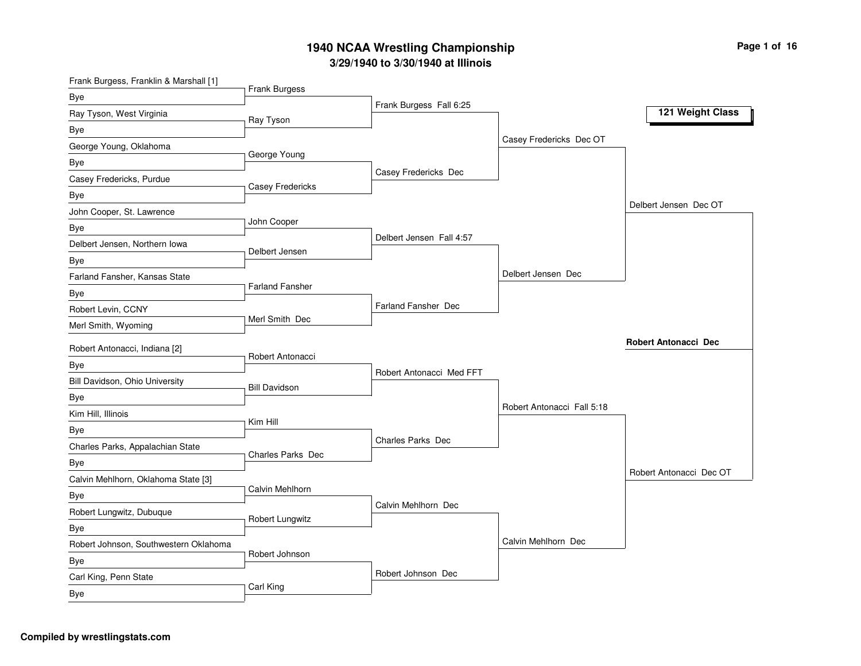### **3/2 9/19 4 0 to 3/3 0/19 4 0 at Illin ois 19 4 0 N C A A Wre stlin g C h a m pio n s hip**

| Frank Burgess, Franklin & Marshall [1] |                          |                            |                            |                             |
|----------------------------------------|--------------------------|----------------------------|----------------------------|-----------------------------|
| <b>Bye</b>                             | Frank Burgess            |                            |                            |                             |
| Ray Tyson, West Virginia               | Ray Tyson                | Frank Burgess Fall 6:25    |                            | 121 Weight Class            |
| Bye                                    |                          |                            |                            |                             |
| George Young, Oklahoma                 |                          |                            | Casey Fredericks Dec OT    |                             |
| Bye                                    | George Young             |                            |                            |                             |
| Casey Fredericks, Purdue               |                          | Casey Fredericks Dec       |                            |                             |
| Bye                                    | <b>Casey Fredericks</b>  |                            |                            |                             |
| John Cooper, St. Lawrence              |                          |                            |                            | Delbert Jensen Dec OT       |
| Bye                                    | John Cooper              |                            |                            |                             |
| Delbert Jensen, Northern Iowa          |                          | Delbert Jensen Fall 4:57   |                            |                             |
| Bye                                    | Delbert Jensen           |                            |                            |                             |
| Farland Fansher, Kansas State          |                          |                            | Delbert Jensen Dec         |                             |
| Bye                                    | <b>Farland Fansher</b>   |                            |                            |                             |
| Robert Levin, CCNY                     |                          | <b>Farland Fansher Dec</b> |                            |                             |
| Merl Smith, Wyoming                    | Merl Smith Dec           |                            |                            |                             |
| Robert Antonacci, Indiana [2]          |                          |                            |                            | <b>Robert Antonacci Dec</b> |
| Bye                                    | Robert Antonacci         |                            |                            |                             |
| Bill Davidson, Ohio University         | <b>Bill Davidson</b>     | Robert Antonacci Med FFT   |                            |                             |
| Bye                                    |                          |                            |                            |                             |
| Kim Hill, Illinois                     |                          |                            | Robert Antonacci Fall 5:18 |                             |
| Bye                                    | Kim Hill                 |                            |                            |                             |
| Charles Parks, Appalachian State       |                          | Charles Parks Dec          |                            |                             |
| Bye                                    | <b>Charles Parks Dec</b> |                            |                            |                             |
| Calvin Mehlhorn, Oklahoma State [3]    |                          |                            |                            | Robert Antonacci Dec OT     |
| Bye                                    | Calvin Mehlhorn          |                            |                            |                             |
| Robert Lungwitz, Dubuque               |                          | Calvin Mehlhorn Dec        |                            |                             |
| Bye                                    | Robert Lungwitz          |                            |                            |                             |
| Robert Johnson, Southwestern Oklahoma  |                          |                            | Calvin Mehlhorn Dec        |                             |
| Bye                                    | Robert Johnson           |                            |                            |                             |
| Carl King, Penn State                  |                          | Robert Johnson Dec         |                            |                             |
| Bye                                    | Carl King                |                            |                            |                             |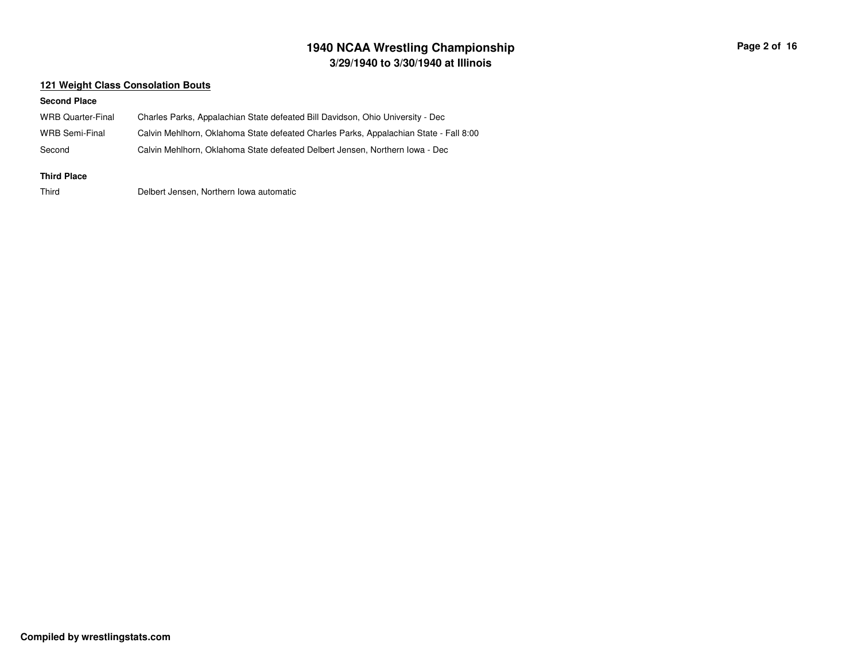## **3/29/1940 to 3/30/1940 at Illinois 1940 NCAA Wrestling Championship Page <sup>2</sup> of <sup>16</sup>**

#### **121 Weight Class Consolation Bouts**

#### **Second Place**

| WRB Quarter-Final | Charles Parks, Appalachian State defeated Bill Davidson, Ohio University - Dec        |
|-------------------|---------------------------------------------------------------------------------------|
| WRB Semi-Final    | Calvin Mehlhorn, Oklahoma State defeated Charles Parks, Appalachian State - Fall 8:00 |
| Second            | Calvin Mehlhorn, Oklahoma State defeated Delbert Jensen, Northern Iowa - Dec          |

#### **Third Place**

Third

Delbert Jensen, Northern Iowa automatic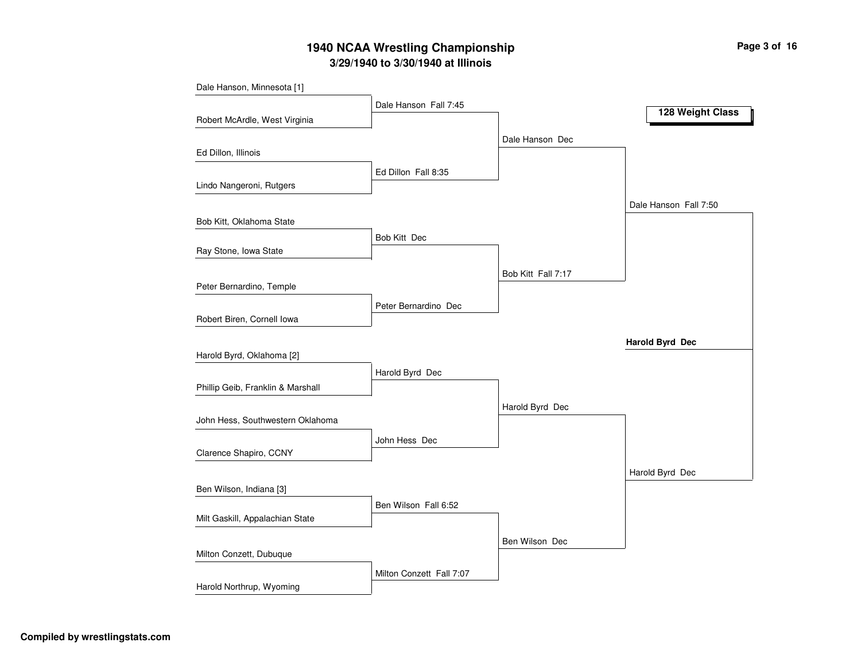# **3/29/1940 to 3/30/1940 at Illinois 1940 NCAA Wrestling Championship Page <sup>3</sup> of <sup>16</sup>**

| Dale Hanson, Minnesota [1]        |                          |                    |                       |
|-----------------------------------|--------------------------|--------------------|-----------------------|
|                                   | Dale Hanson Fall 7:45    |                    | 128 Weight Class      |
| Robert McArdle, West Virginia     |                          |                    |                       |
|                                   |                          | Dale Hanson Dec    |                       |
| Ed Dillon, Illinois               |                          |                    |                       |
|                                   | Ed Dillon Fall 8:35      |                    |                       |
| Lindo Nangeroni, Rutgers          |                          |                    |                       |
|                                   |                          |                    | Dale Hanson Fall 7:50 |
| Bob Kitt, Oklahoma State          |                          |                    |                       |
|                                   | Bob Kitt Dec             |                    |                       |
| Ray Stone, Iowa State             |                          |                    |                       |
|                                   |                          | Bob Kitt Fall 7:17 |                       |
| Peter Bernardino, Temple          |                          |                    |                       |
|                                   | Peter Bernardino Dec     |                    |                       |
| Robert Biren, Cornell Iowa        |                          |                    |                       |
|                                   |                          |                    | Harold Byrd Dec       |
| Harold Byrd, Oklahoma [2]         |                          |                    |                       |
|                                   | Harold Byrd Dec          |                    |                       |
| Phillip Geib, Franklin & Marshall |                          |                    |                       |
|                                   |                          | Harold Byrd Dec    |                       |
| John Hess, Southwestern Oklahoma  |                          |                    |                       |
| Clarence Shapiro, CCNY            | John Hess Dec            |                    |                       |
|                                   |                          |                    |                       |
| Ben Wilson, Indiana [3]           |                          |                    | Harold Byrd Dec       |
|                                   | Ben Wilson Fall 6:52     |                    |                       |
| Milt Gaskill, Appalachian State   |                          |                    |                       |
|                                   |                          |                    |                       |
| Milton Conzett, Dubuque           |                          | Ben Wilson Dec     |                       |
|                                   | Milton Conzett Fall 7:07 |                    |                       |
| Harold Northrup, Wyoming          |                          |                    |                       |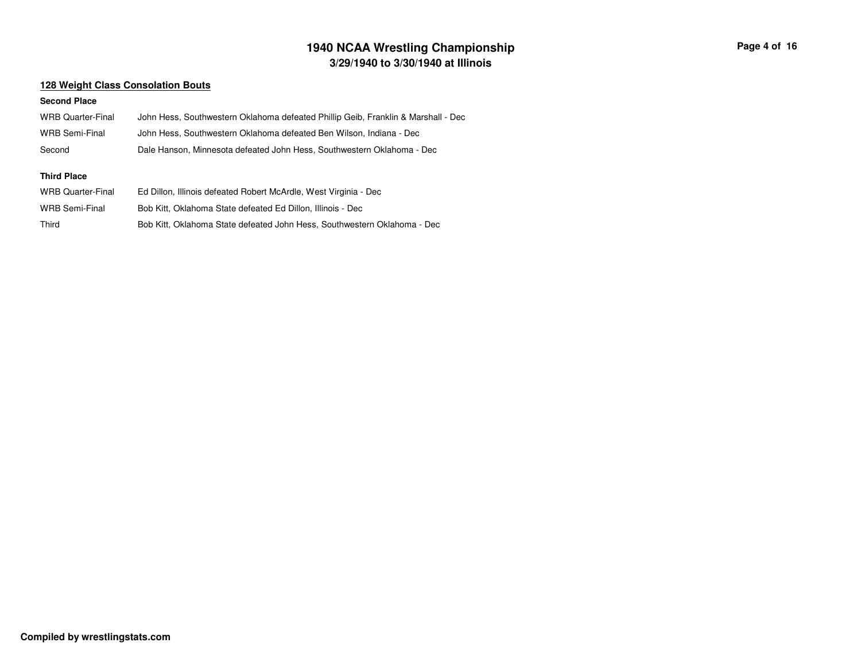## **3/29/1940 to 3/30/1940 at Illinois 1940 NCAA Wrestling Championship Page <sup>4</sup> of <sup>16</sup>**

#### **128 Weight Class Consolation Bouts**

| <b>WRB Quarter-Final</b> | John Hess, Southwestern Oklahoma defeated Phillip Geib, Franklin & Marshall - Dec |
|--------------------------|-----------------------------------------------------------------------------------|
| <b>WRB Semi-Final</b>    | John Hess, Southwestern Oklahoma defeated Ben Wilson, Indiana - Dec               |
| Second                   | Dale Hanson, Minnesota defeated John Hess, Southwestern Oklahoma - Dec            |
| <b>Third Place</b>       |                                                                                   |
| <b>WRB Quarter-Final</b> | Ed Dillon, Illinois defeated Robert McArdle, West Virginia - Dec                  |
| <b>WRB Semi-Final</b>    | Bob Kitt, Oklahoma State defeated Ed Dillon, Illinois - Dec                       |
| Third                    | Bob Kitt, Oklahoma State defeated John Hess, Southwestern Oklahoma - Dec          |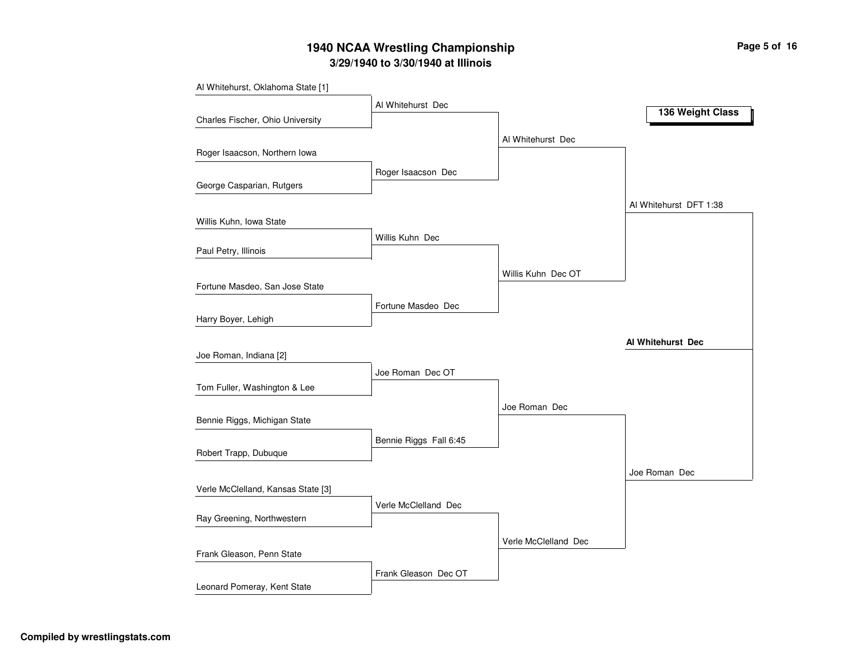# **3/29/1940 to 3/30/1940 at Illinois 1940 NCAA Wrestling Championship Page <sup>5</sup> of <sup>16</sup>**

| Al Whitehurst, Oklahoma State [1]  |                        |                      |                        |
|------------------------------------|------------------------|----------------------|------------------------|
|                                    | Al Whitehurst Dec      |                      | 136 Weight Class       |
| Charles Fischer, Ohio University   |                        |                      |                        |
|                                    |                        | Al Whitehurst Dec    |                        |
| Roger Isaacson, Northern Iowa      |                        |                      |                        |
|                                    | Roger Isaacson Dec     |                      |                        |
| George Casparian, Rutgers          |                        |                      |                        |
|                                    |                        |                      | Al Whitehurst DFT 1:38 |
| Willis Kuhn, Iowa State            |                        |                      |                        |
|                                    | Willis Kuhn Dec        |                      |                        |
| Paul Petry, Illinois               |                        |                      |                        |
|                                    |                        | Willis Kuhn Dec OT   |                        |
| Fortune Masdeo, San Jose State     |                        |                      |                        |
|                                    | Fortune Masdeo Dec     |                      |                        |
| Harry Boyer, Lehigh                |                        |                      |                        |
|                                    |                        |                      | Al Whitehurst Dec      |
| Joe Roman, Indiana [2]             |                        |                      |                        |
| Tom Fuller, Washington & Lee       | Joe Roman Dec OT       |                      |                        |
|                                    |                        |                      |                        |
| Bennie Riggs, Michigan State       |                        | Joe Roman Dec        |                        |
|                                    |                        |                      |                        |
| Robert Trapp, Dubuque              | Bennie Riggs Fall 6:45 |                      |                        |
|                                    |                        |                      | Joe Roman Dec          |
| Verle McClelland, Kansas State [3] |                        |                      |                        |
|                                    | Verle McClelland Dec   |                      |                        |
| Ray Greening, Northwestern         |                        |                      |                        |
|                                    |                        | Verle McClelland Dec |                        |
| Frank Gleason, Penn State          |                        |                      |                        |
|                                    | Frank Gleason Dec OT   |                      |                        |
| Leonard Pomeray, Kent State        |                        |                      |                        |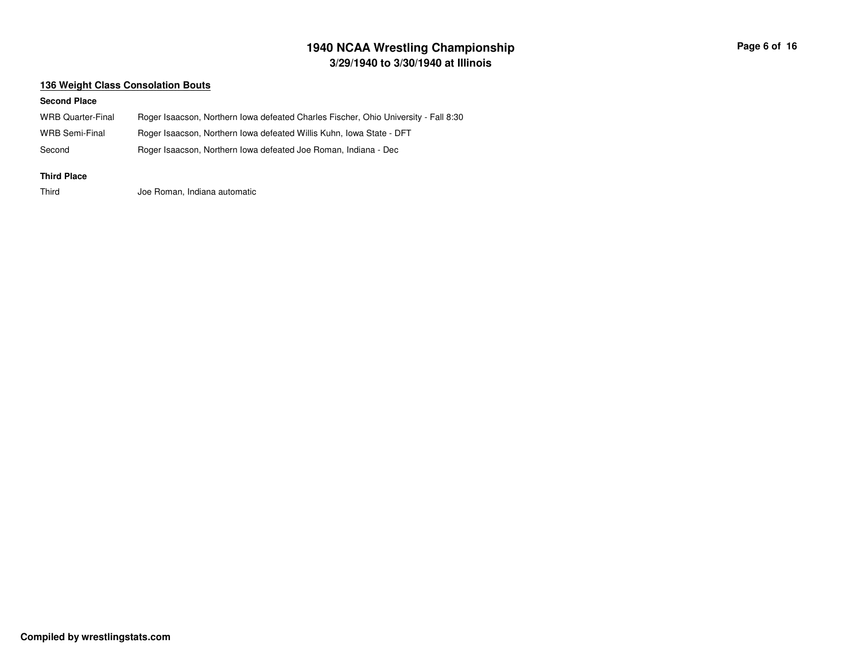# **3/29/1940 to 3/30/1940 at Illinois 1940 NCAA Wrestling Championship Page <sup>6</sup> of <sup>16</sup>**

#### **136 Weight Class Consolation Bouts**

| WRB Quarter-Final  | Roger Isaacson, Northern Iowa defeated Charles Fischer, Ohio University - Fall 8:30 |
|--------------------|-------------------------------------------------------------------------------------|
| WRB Semi-Final     | Roger Isaacson, Northern Iowa defeated Willis Kuhn, Iowa State - DFT                |
| Second             | Roger Isaacson, Northern Iowa defeated Joe Roman, Indiana - Dec                     |
| <b>Third Place</b> |                                                                                     |
| Third              | Joe Roman, Indiana automatic                                                        |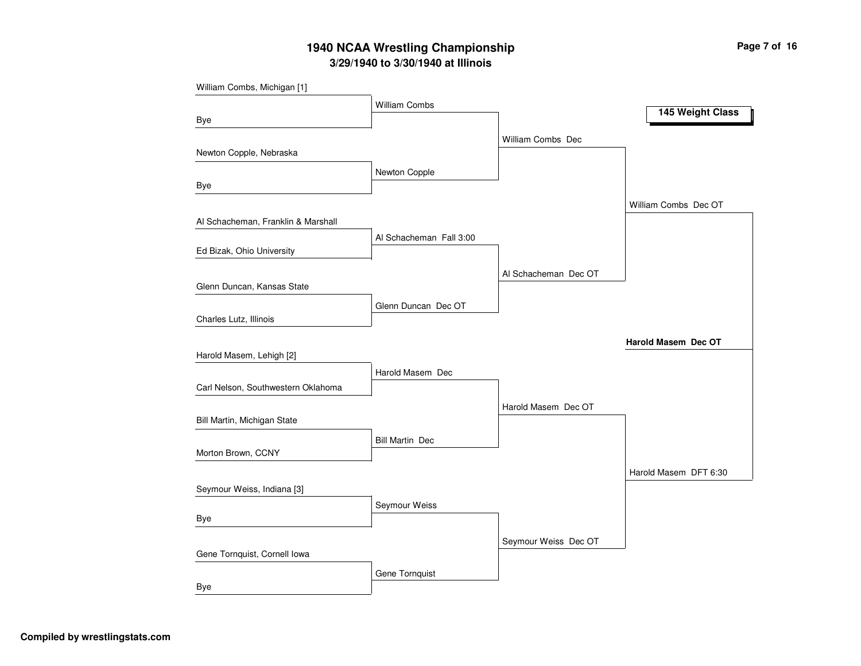# **3/29/1940 to 3/30/1940 at Illinois 1940 NCAA Wrestling Championship Page <sup>7</sup> of <sup>16</sup>**

| William Combs, Michigan [1]        |                         |                      |                       |
|------------------------------------|-------------------------|----------------------|-----------------------|
|                                    | <b>William Combs</b>    |                      |                       |
| Bye                                |                         |                      | 145 Weight Class      |
|                                    |                         | William Combs Dec    |                       |
| Newton Copple, Nebraska            |                         |                      |                       |
|                                    | Newton Copple           |                      |                       |
| Bye                                |                         |                      |                       |
|                                    |                         |                      | William Combs Dec OT  |
| Al Schacheman, Franklin & Marshall |                         |                      |                       |
|                                    | Al Schacheman Fall 3:00 |                      |                       |
| Ed Bizak, Ohio University          |                         |                      |                       |
|                                    |                         | Al Schacheman Dec OT |                       |
| Glenn Duncan, Kansas State         |                         |                      |                       |
|                                    | Glenn Duncan Dec OT     |                      |                       |
| Charles Lutz, Illinois             |                         |                      |                       |
|                                    |                         |                      | Harold Masem Dec OT   |
| Harold Masem, Lehigh [2]           |                         |                      |                       |
|                                    | Harold Masem Dec        |                      |                       |
| Carl Nelson, Southwestern Oklahoma |                         |                      |                       |
|                                    |                         | Harold Masem Dec OT  |                       |
| Bill Martin, Michigan State        |                         |                      |                       |
|                                    | <b>Bill Martin Dec</b>  |                      |                       |
| Morton Brown, CCNY                 |                         |                      |                       |
|                                    |                         |                      | Harold Masem DFT 6:30 |
| Seymour Weiss, Indiana [3]         |                         |                      |                       |
|                                    | Seymour Weiss           |                      |                       |
| Bye                                |                         |                      |                       |
|                                    |                         | Seymour Weiss Dec OT |                       |
| Gene Tornquist, Cornell Iowa       |                         |                      |                       |
|                                    | Gene Tornquist          |                      |                       |
| Bye                                |                         |                      |                       |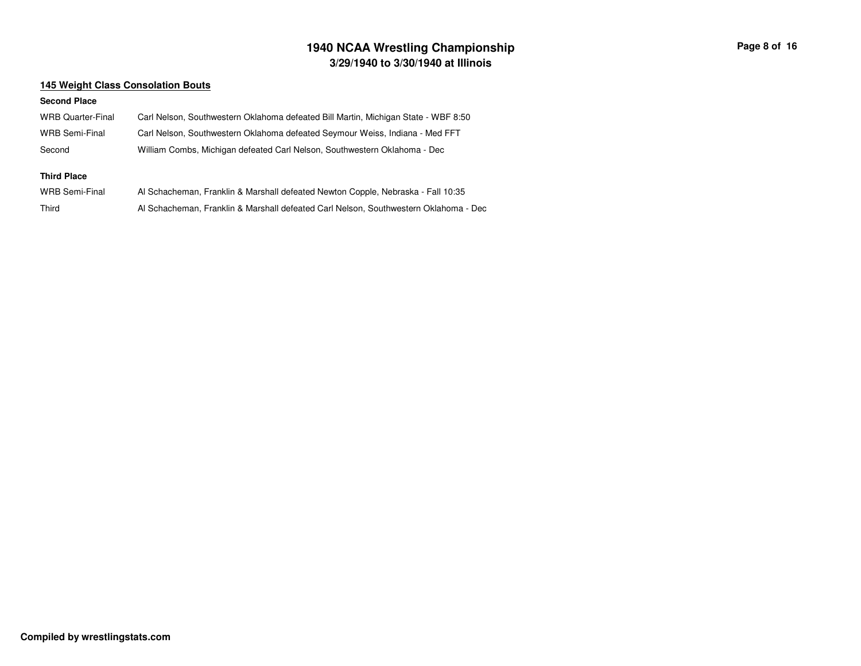## **3/29/1940 to 3/30/1940 at Illinois 1940 NCAA Wrestling Championship Page <sup>8</sup> of <sup>16</sup>**

#### **145 Weight Class Consolation Bouts**

| <b>WRB Quarter-Final</b> | Carl Nelson, Southwestern Oklahoma defeated Bill Martin, Michigan State - WBF 8:50   |
|--------------------------|--------------------------------------------------------------------------------------|
| WRB Semi-Final           | Carl Nelson, Southwestern Oklahoma defeated Seymour Weiss, Indiana - Med FFT         |
| Second                   | William Combs, Michigan defeated Carl Nelson, Southwestern Oklahoma - Dec            |
| <b>Third Place</b>       |                                                                                      |
| WRB Semi-Final           | Al Schacheman, Franklin & Marshall defeated Newton Copple, Nebraska - Fall 10:35     |
| Third                    | Al Schacheman, Franklin & Marshall defeated Carl Nelson, Southwestern Oklahoma - Dec |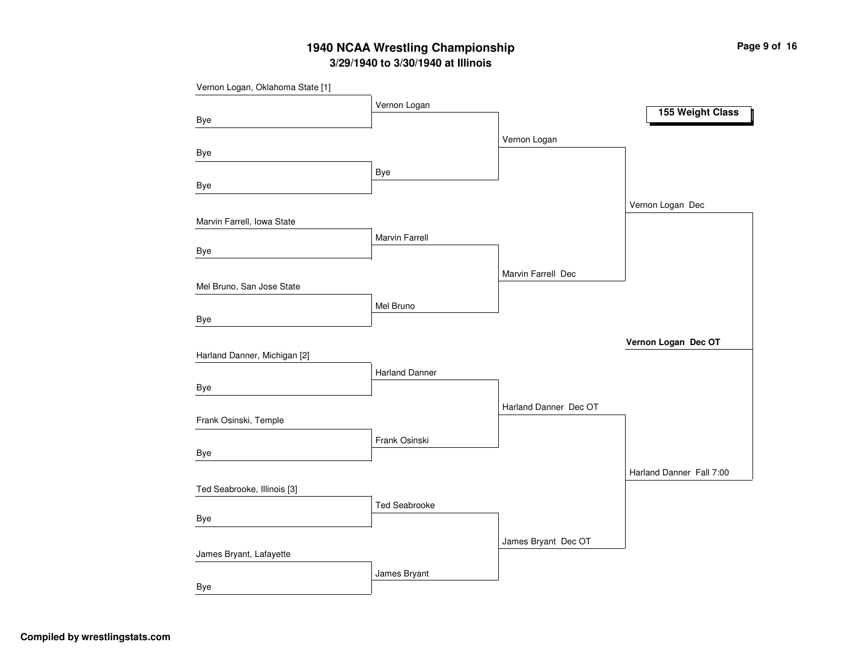## **3/29/1940 to 3/30/1940 at Illinois 1940 NCAA Wrestling Championship Page <sup>9</sup> of <sup>16</sup>**

| Vernon Logan, Oklahoma State [1] |                       |                       |                          |
|----------------------------------|-----------------------|-----------------------|--------------------------|
|                                  | Vernon Logan          |                       | 155 Weight Class         |
| <b>Bye</b>                       |                       |                       |                          |
|                                  |                       | Vernon Logan          |                          |
| Bye                              |                       |                       |                          |
|                                  | Bye                   |                       |                          |
| Bye                              |                       |                       |                          |
|                                  |                       |                       | Vernon Logan Dec         |
| Marvin Farrell, Iowa State       |                       |                       |                          |
|                                  | Marvin Farrell        |                       |                          |
| Bye                              |                       |                       |                          |
|                                  |                       | Marvin Farrell Dec    |                          |
| Mel Bruno, San Jose State        |                       |                       |                          |
|                                  | Mel Bruno             |                       |                          |
| Bye                              |                       |                       |                          |
|                                  |                       |                       | Vernon Logan Dec OT      |
| Harland Danner, Michigan [2]     |                       |                       |                          |
|                                  | <b>Harland Danner</b> |                       |                          |
| Bye                              |                       |                       |                          |
|                                  |                       | Harland Danner Dec OT |                          |
| Frank Osinski, Temple            |                       |                       |                          |
|                                  | Frank Osinski         |                       |                          |
| <b>Bye</b>                       |                       |                       |                          |
|                                  |                       |                       | Harland Danner Fall 7:00 |
| Ted Seabrooke, Illinois [3]      |                       |                       |                          |
|                                  | <b>Ted Seabrooke</b>  |                       |                          |
| <b>Bye</b>                       |                       |                       |                          |
|                                  |                       | James Bryant Dec OT   |                          |
| James Bryant, Lafayette          |                       |                       |                          |
|                                  | James Bryant          |                       |                          |
| Bye                              |                       |                       |                          |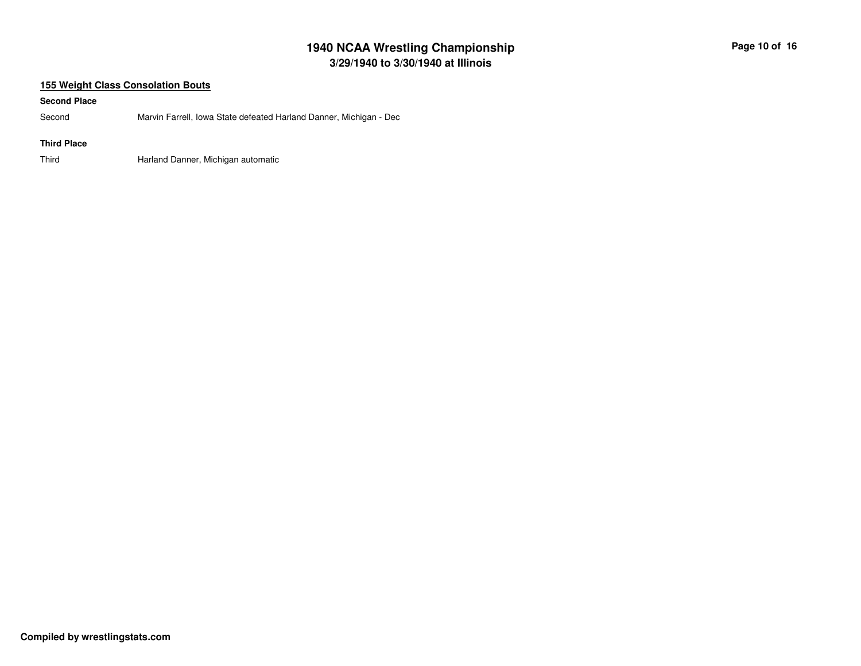# **3/29/1940 to 3/30/1940 at Illinois 1940 NCAA Wrestling Championship Page <sup>10</sup> of <sup>16</sup>**

### **155 Weight Class Consolation Bouts**

#### **Second Place**

SecondMarvin Farrell, Iowa State defeated Harland Danner, Michigan - Dec

### **Third Place**

ThirdHarland Danner, Michigan automatic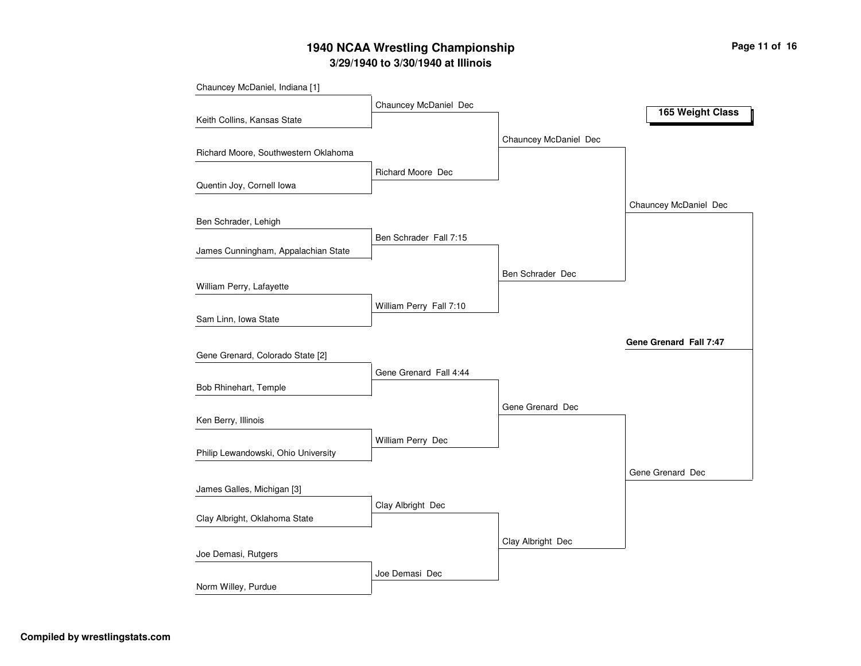# **3/29/1940 to 3/30/1940 at Illinois 1940 NCAA Wrestling Championship Page <sup>11</sup> of <sup>16</sup>**

| Chauncey McDaniel, Indiana [1]       |                          |                       |                        |
|--------------------------------------|--------------------------|-----------------------|------------------------|
|                                      | Chauncey McDaniel Dec    |                       |                        |
| Keith Collins, Kansas State          |                          |                       | 165 Weight Class       |
|                                      |                          | Chauncey McDaniel Dec |                        |
| Richard Moore, Southwestern Oklahoma |                          |                       |                        |
|                                      | <b>Richard Moore Dec</b> |                       |                        |
| Quentin Joy, Cornell Iowa            |                          |                       |                        |
|                                      |                          |                       | Chauncey McDaniel Dec  |
| Ben Schrader, Lehigh                 |                          |                       |                        |
|                                      | Ben Schrader Fall 7:15   |                       |                        |
| James Cunningham, Appalachian State  |                          |                       |                        |
|                                      |                          | Ben Schrader Dec      |                        |
| William Perry, Lafayette             |                          |                       |                        |
|                                      | William Perry Fall 7:10  |                       |                        |
| Sam Linn, Iowa State                 |                          |                       |                        |
|                                      |                          |                       | Gene Grenard Fall 7:47 |
| Gene Grenard, Colorado State [2]     |                          |                       |                        |
|                                      | Gene Grenard Fall 4:44   |                       |                        |
| Bob Rhinehart, Temple                |                          |                       |                        |
|                                      |                          | Gene Grenard Dec      |                        |
| Ken Berry, Illinois                  |                          |                       |                        |
|                                      | William Perry Dec        |                       |                        |
| Philip Lewandowski, Ohio University  |                          |                       |                        |
|                                      |                          |                       | Gene Grenard Dec       |
| James Galles, Michigan [3]           |                          |                       |                        |
| Clay Albright, Oklahoma State        | Clay Albright Dec        |                       |                        |
|                                      |                          |                       |                        |
|                                      |                          | Clay Albright Dec     |                        |
| Joe Demasi, Rutgers                  |                          |                       |                        |
| Norm Willey, Purdue                  | Joe Demasi Dec           |                       |                        |
|                                      |                          |                       |                        |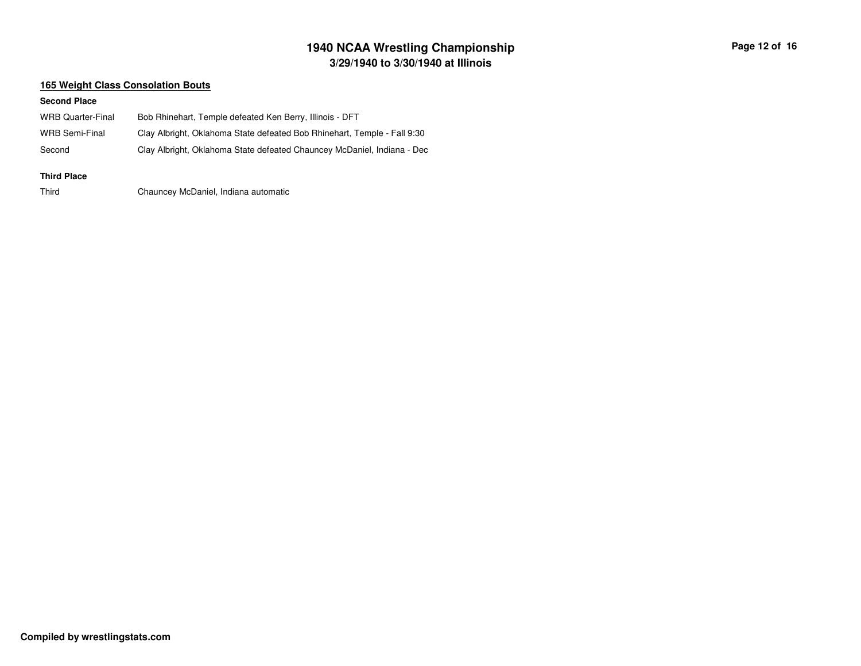# **3/29/1940 to 3/30/1940 at Illinois 1940 NCAA Wrestling Championship Page <sup>12</sup> of <sup>16</sup>**

### **165 Weight Class Consolation Bouts**

#### **Second Place**

| WRB Quarter-Final  | Bob Rhinehart, Temple defeated Ken Berry, Illinois - DFT                 |
|--------------------|--------------------------------------------------------------------------|
| WRB Semi-Final     | Clay Albright, Oklahoma State defeated Bob Rhinehart, Temple - Fall 9:30 |
| Second             | Clay Albright, Oklahoma State defeated Chauncey McDaniel, Indiana - Dec  |
| <b>Third Place</b> |                                                                          |

ThirdChauncey McDaniel, Indiana automatic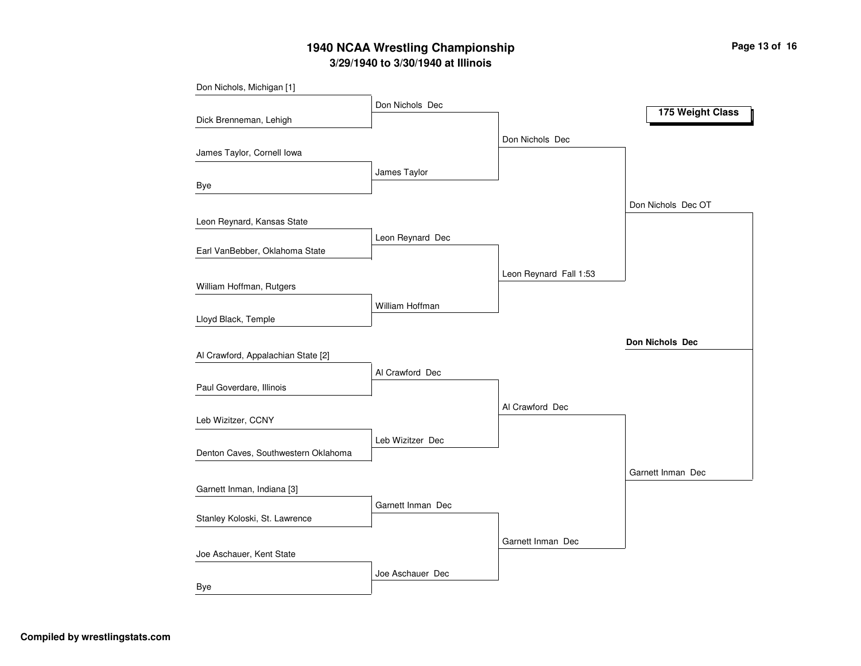# **3/29/1940 to 3/30/1940 at Illinois 1940 NCAA Wrestling Championship Page <sup>13</sup> of <sup>16</sup>**

| Don Nichols, Michigan [1]           |                   |                        |                    |
|-------------------------------------|-------------------|------------------------|--------------------|
|                                     | Don Nichols Dec   |                        | 175 Weight Class   |
| Dick Brenneman, Lehigh              |                   |                        |                    |
|                                     |                   | Don Nichols Dec        |                    |
| James Taylor, Cornell Iowa          |                   |                        |                    |
|                                     | James Taylor      |                        |                    |
| Bye                                 |                   |                        |                    |
|                                     |                   |                        | Don Nichols Dec OT |
| Leon Reynard, Kansas State          |                   |                        |                    |
|                                     | Leon Reynard Dec  |                        |                    |
| Earl VanBebber, Oklahoma State      |                   |                        |                    |
|                                     |                   | Leon Reynard Fall 1:53 |                    |
| William Hoffman, Rutgers            |                   |                        |                    |
|                                     | William Hoffman   |                        |                    |
| Lloyd Black, Temple                 |                   |                        |                    |
|                                     |                   |                        | Don Nichols Dec    |
| Al Crawford, Appalachian State [2]  |                   |                        |                    |
|                                     | Al Crawford Dec   |                        |                    |
| Paul Goverdare, Illinois            |                   |                        |                    |
|                                     |                   | Al Crawford Dec        |                    |
| Leb Wizitzer, CCNY                  |                   |                        |                    |
|                                     | Leb Wizitzer Dec  |                        |                    |
| Denton Caves, Southwestern Oklahoma |                   |                        |                    |
|                                     |                   |                        | Garnett Inman Dec  |
| Garnett Inman, Indiana [3]          |                   |                        |                    |
|                                     | Garnett Inman Dec |                        |                    |
| Stanley Koloski, St. Lawrence       |                   |                        |                    |
|                                     |                   | Garnett Inman Dec      |                    |
| Joe Aschauer, Kent State            |                   |                        |                    |
|                                     | Joe Aschauer Dec  |                        |                    |
| Bye                                 |                   |                        |                    |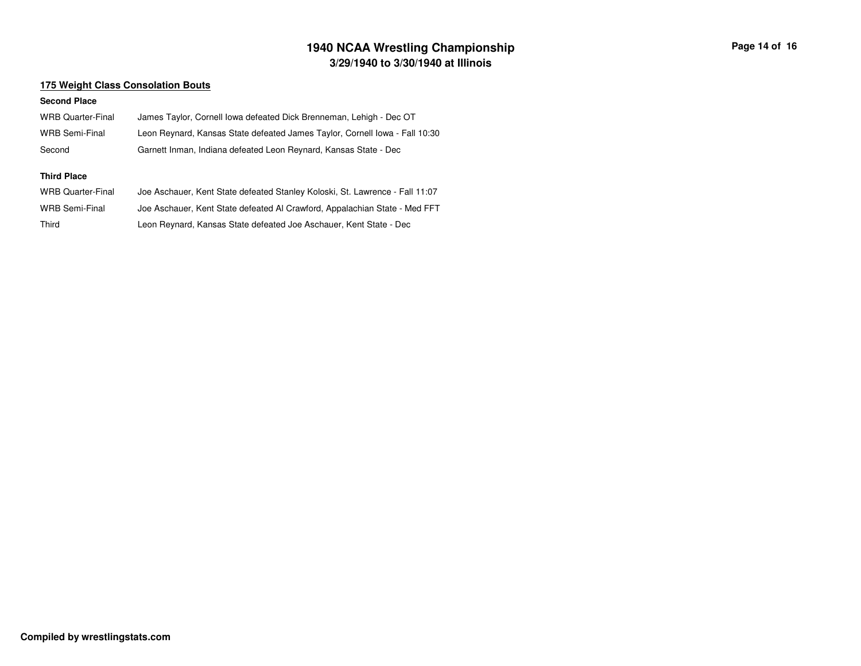# **3/29/1940 to 3/30/1940 at Illinois 1940 NCAA Wrestling Championship Page <sup>14</sup> of <sup>16</sup>**

### **175 Weight Class Consolation Bouts**

| <b>WRB Quarter-Final</b> | James Taylor, Cornell Iowa defeated Dick Brenneman, Lehigh - Dec OT          |
|--------------------------|------------------------------------------------------------------------------|
| <b>WRB Semi-Final</b>    | Leon Reynard, Kansas State defeated James Taylor, Cornell Iowa - Fall 10:30  |
| Second                   | Garnett Inman, Indiana defeated Leon Reynard, Kansas State - Dec             |
|                          |                                                                              |
| <b>Third Place</b>       |                                                                              |
| <b>WRB Quarter-Final</b> | Joe Aschauer, Kent State defeated Stanley Koloski, St. Lawrence - Fall 11:07 |
| <b>WRB Semi-Final</b>    | Joe Aschauer, Kent State defeated AI Crawford, Appalachian State - Med FFT   |
| Third                    | Leon Reynard, Kansas State defeated Joe Aschauer, Kent State - Dec           |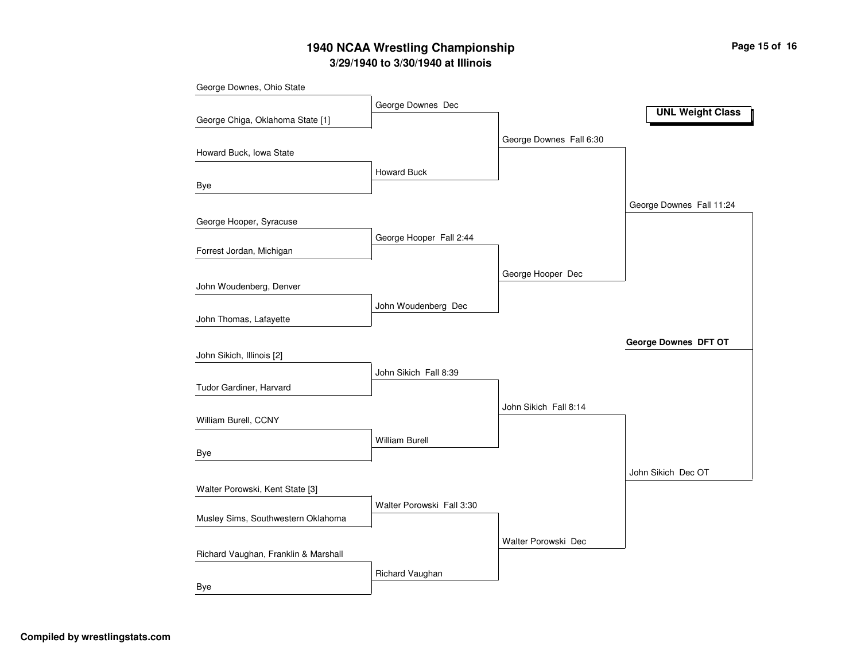# **3/29/1940 to 3/30/1940 at Illinois 1940 NCAA Wrestling Championship Page <sup>15</sup> of <sup>16</sup>**

| George Downes, Ohio State            |                           |                         |                          |
|--------------------------------------|---------------------------|-------------------------|--------------------------|
|                                      | George Downes Dec         |                         | <b>UNL Weight Class</b>  |
| George Chiga, Oklahoma State [1]     |                           |                         |                          |
|                                      |                           | George Downes Fall 6:30 |                          |
| Howard Buck, Iowa State              |                           |                         |                          |
|                                      | <b>Howard Buck</b>        |                         |                          |
| Bye                                  |                           |                         |                          |
|                                      |                           |                         | George Downes Fall 11:24 |
| George Hooper, Syracuse              |                           |                         |                          |
| Forrest Jordan, Michigan             | George Hooper Fall 2:44   |                         |                          |
|                                      |                           |                         |                          |
|                                      |                           | George Hooper Dec       |                          |
| John Woudenberg, Denver              |                           |                         |                          |
| John Thomas, Lafayette               | John Woudenberg Dec       |                         |                          |
|                                      |                           |                         |                          |
| John Sikich, Illinois [2]            |                           |                         | George Downes DFT OT     |
|                                      | John Sikich Fall 8:39     |                         |                          |
| Tudor Gardiner, Harvard              |                           |                         |                          |
|                                      |                           | John Sikich Fall 8:14   |                          |
| William Burell, CCNY                 |                           |                         |                          |
|                                      | <b>William Burell</b>     |                         |                          |
| Bye                                  |                           |                         |                          |
|                                      |                           |                         | John Sikich Dec OT       |
| Walter Porowski, Kent State [3]      |                           |                         |                          |
|                                      | Walter Porowski Fall 3:30 |                         |                          |
| Musley Sims, Southwestern Oklahoma   |                           |                         |                          |
|                                      |                           | Walter Porowski Dec     |                          |
| Richard Vaughan, Franklin & Marshall |                           |                         |                          |
|                                      | Richard Vaughan           |                         |                          |
| Bye                                  |                           |                         |                          |